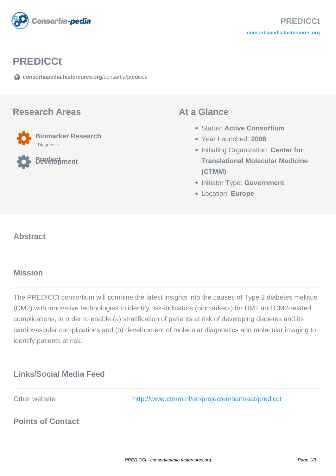

## **PREDICCt**

**[consortiapedia.fastercures.org](https://consortiapedia.fastercures.org/consortia/predicct/)**[/consortia/predicct/](https://consortiapedia.fastercures.org/consortia/predicct/)

#### **Research Areas**



**Product Development**

### **At a Glance**

- Status: **Active Consortium**
- Year Launched: **2008**
- **Initiating Organization: Center for Translational Molecular Medicine (CTMM)**
- **Initiator Type: Government**
- Location: **Europe**

#### $\overline{a}$ **Abstract**

## **Mission**

The PREDICCt consortium will combine the latest insights into the causes of Type 2 diabetes mellitus (DM2) with innovative technologies to identify risk-indicators (biomarkers) for DM2 and DM2-related complications, in order to enable (a) stratification of patients at risk of developing diabetes and its cardiovascular complications and (b) development of molecular diagnostics and molecular imaging to identify patients at risk.

# **Links/Social Media Feed**

Other website <http://www.ctmm.nl/en/projecten/hartvaat/predicct>

# **Points of Contact**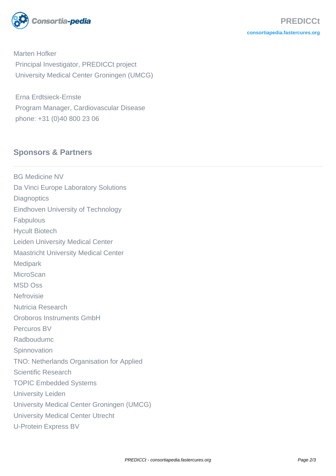

Marten Hofker Principal Investigator, PREDICCt project University Medical Center Groningen (UMCG)

 Erna Erdtsieck-Ernste Program Manager, Cardiovascular Disease phone: +31 (0)40 800 23 06

# **Sponsors & Partners**

BG Medicine NV Da Vinci Europe Laboratory Solutions **Diagnoptics** Eindhoven University of Technology Fabpulous Hycult Biotech Leiden University Medical Center Maastricht University Medical Center **Medipark MicroScan** MSD Oss Nefrovisie Nutricia Research Oroboros Instruments GmbH Percuros BV Radboudumc **Spinnovation** TNO: Netherlands Organisation for Applied Scientific Research TOPIC Embedded Systems University Leiden University Medical Center Groningen (UMCG) University Medical Center Utrecht U-Protein Express BV